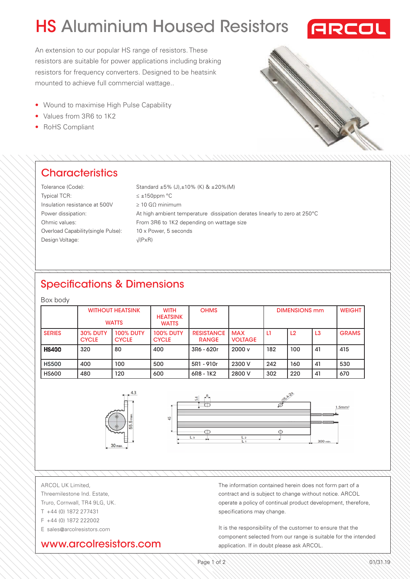# HS Aluminium Housed Resistors



An extension to our popular HS range of resistors. These resistors are suitable for power applications including braking resistors for frequency converters. Designed to be heatsink mounted to achieve full commercial wattage..

- Wound to maximise High Pulse Capability
- Values from 3R6 to 1K2
- RoHS Compliant

## **Characteristics**

| Tolerance (Code):                   | Standard $\pm 5\%$ (J), $\pm 10\%$ (K) & $\pm 20\%$ (M)                   |
|-------------------------------------|---------------------------------------------------------------------------|
| <b>Typical TCR:</b>                 | $\leq \pm 150$ ppm °C                                                     |
| Insulation resistance at 500V       | $\geq 10$ GO minimum                                                      |
| Power dissipation:                  | At high ambient temperature dissipation derates linearly to zero at 250°C |
| Ohmic values:                       | From 3R6 to 1K2 depending on wattage size                                 |
| Overload Capability (single Pulse): | 10 x Power, 5 seconds                                                     |
| Design Voltage:                     | $\sqrt{(PxR)}$                                                            |
|                                     |                                                                           |

## Specifications & Dimensions

#### Box body

|               |                                 | <b>WITHOUT HEATSINK</b><br><b>WATTS</b> | <b>WITH</b><br><b>HEATSINK</b><br><b>WATTS</b> | <b>OHMS</b>                       |                              | <b>DIMENSIONS mm</b> |                |                | <b>WEIGHT</b> |
|---------------|---------------------------------|-----------------------------------------|------------------------------------------------|-----------------------------------|------------------------------|----------------------|----------------|----------------|---------------|
| <b>SERIES</b> | <b>30% DUTY</b><br><b>CYCLE</b> | <b>100% DUTY</b><br><b>CYCLE</b>        | <b>100% DUTY</b><br><b>CYCLE</b>               | <b>RESISTANCE</b><br><b>RANGE</b> | <b>MAX</b><br><b>VOLTAGE</b> | L1                   | L <sub>2</sub> | L <sub>3</sub> | <b>GRAMS</b>  |
| <b>HS400</b>  | 320                             | 80                                      | 400                                            | 3R6 - 620r                        | 2000v                        | 182                  | 100            | 41             | 415           |
| <b>HS500</b>  | 400                             | 100                                     | 500                                            | 5R1 - 910r                        | 2300 V                       | 242                  | 160            | 41             | 530           |
| <b>HS600</b>  | 480                             | 120                                     | 600                                            | 6R8 - 1K2                         | 2800 V                       | 302                  | 220            | 41             | 670           |



ARCOL UK Limited,

- Threemilestone Ind. Estate, Truro, Cornwall, TR4 9LG, UK. T +44 (0) 1872 277431
- F +44 (0) 1872 222002
- E sales@arcolresistors.com

### www.arcolresistors.com

The information contained herein does not form part of a contract and is subject to change without notice. ARCOL operate a policy of continual product development, therefore, specifications may change.

It is the responsibility of the customer to ensure that the component selected from our range is suitable for the intended application. If in doubt please ask ARCOL.